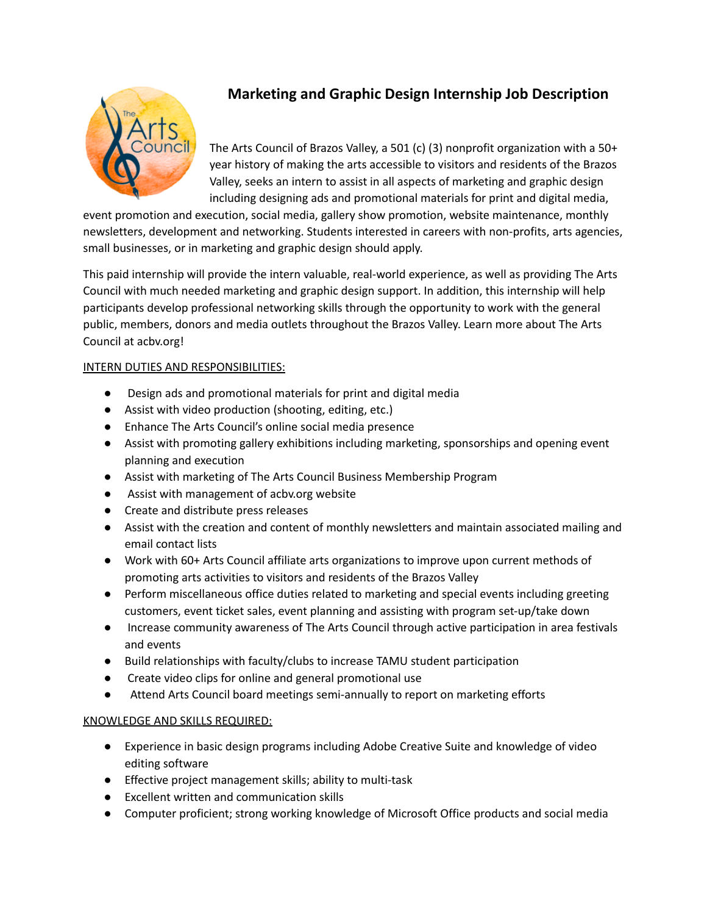

# **Marketing and Graphic Design Internship Job Description**

The Arts Council of Brazos Valley, a 501 (c) (3) nonprofit organization with a 50+ year history of making the arts accessible to visitors and residents of the Brazos Valley, seeks an intern to assist in all aspects of marketing and graphic design including designing ads and promotional materials for print and digital media,

event promotion and execution, social media, gallery show promotion, website maintenance, monthly newsletters, development and networking. Students interested in careers with non-profits, arts agencies, small businesses, or in marketing and graphic design should apply.

This paid internship will provide the intern valuable, real-world experience, as well as providing The Arts Council with much needed marketing and graphic design support. In addition, this internship will help participants develop professional networking skills through the opportunity to work with the general public, members, donors and media outlets throughout the Brazos Valley. Learn more about The Arts Council at acbv.org!

## INTERN DUTIES AND RESPONSIBILITIES:

- Design ads and promotional materials for print and digital media
- Assist with video production (shooting, editing, etc.)
- Enhance The Arts Council's online social media presence
- Assist with promoting gallery exhibitions including marketing, sponsorships and opening event planning and execution
- Assist with marketing of The Arts Council Business Membership Program
- Assist with management of acbv.org website
- Create and distribute press releases
- Assist with the creation and content of monthly newsletters and maintain associated mailing and email contact lists
- Work with 60+ Arts Council affiliate arts organizations to improve upon current methods of promoting arts activities to visitors and residents of the Brazos Valley
- Perform miscellaneous office duties related to marketing and special events including greeting customers, event ticket sales, event planning and assisting with program set-up/take down
- Increase community awareness of The Arts Council through active participation in area festivals and events
- Build relationships with faculty/clubs to increase TAMU student participation
- Create video clips for online and general promotional use
- Attend Arts Council board meetings semi-annually to report on marketing efforts

## KNOWLEDGE AND SKILLS REQUIRED:

- Experience in basic design programs including Adobe Creative Suite and knowledge of video editing software
- Effective project management skills; ability to multi-task
- Excellent written and communication skills
- Computer proficient; strong working knowledge of Microsoft Office products and social media